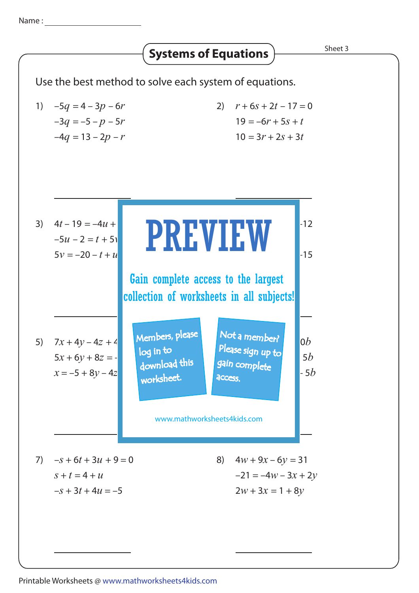